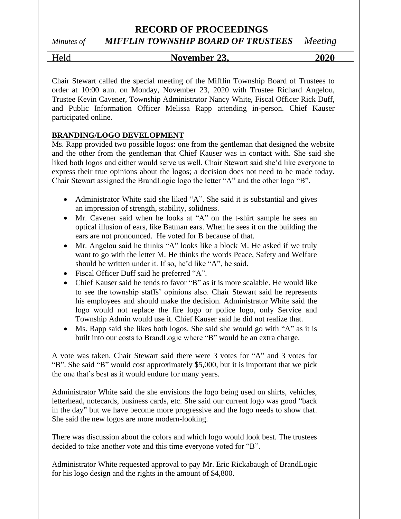# **RECORD OF PROCEEDINGS**

# *Minutes of MIFFLIN TOWNSHIP BOARD OF TRUSTEES Meeting*

### Held **November 23, 2020**

Chair Stewart called the special meeting of the Mifflin Township Board of Trustees to order at 10:00 a.m. on Monday, November 23, 2020 with Trustee Richard Angelou, Trustee Kevin Cavener, Township Administrator Nancy White, Fiscal Officer Rick Duff, and Public Information Officer Melissa Rapp attending in-person. Chief Kauser participated online.

### **BRANDING/LOGO DEVELOPMENT**

Ms. Rapp provided two possible logos: one from the gentleman that designed the website and the other from the gentleman that Chief Kauser was in contact with. She said she liked both logos and either would serve us well. Chair Stewart said she'd like everyone to express their true opinions about the logos; a decision does not need to be made today. Chair Stewart assigned the BrandLogic logo the letter "A" and the other logo "B".

- Administrator White said she liked "A". She said it is substantial and gives an impression of strength, stability, solidness.
- Mr. Cavener said when he looks at "A" on the t-shirt sample he sees an optical illusion of ears, like Batman ears. When he sees it on the building the ears are not pronounced. He voted for B because of that.
- Mr. Angelou said he thinks "A" looks like a block M. He asked if we truly want to go with the letter M. He thinks the words Peace, Safety and Welfare should be written under it. If so, he'd like "A", he said.
- Fiscal Officer Duff said he preferred "A".
- Chief Kauser said he tends to favor "B" as it is more scalable. He would like to see the township staffs' opinions also. Chair Stewart said he represents his employees and should make the decision. Administrator White said the logo would not replace the fire logo or police logo, only Service and Township Admin would use it. Chief Kauser said he did not realize that.
- Ms. Rapp said she likes both logos. She said she would go with "A" as it is built into our costs to BrandLogic where "B" would be an extra charge.

A vote was taken. Chair Stewart said there were 3 votes for "A" and 3 votes for "B". She said "B" would cost approximately \$5,000, but it is important that we pick the one that's best as it would endure for many years.

Administrator White said the she envisions the logo being used on shirts, vehicles, letterhead, notecards, business cards, etc. She said our current logo was good "back in the day" but we have become more progressive and the logo needs to show that. She said the new logos are more modern-looking.

There was discussion about the colors and which logo would look best. The trustees decided to take another vote and this time everyone voted for "B".

Administrator White requested approval to pay Mr. Eric Rickabaugh of BrandLogic for his logo design and the rights in the amount of \$4,800.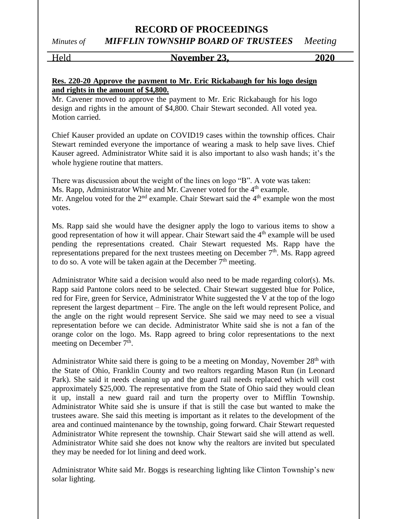### **RECORD OF PROCEEDINGS** *Minutes of MIFFLIN TOWNSHIP BOARD OF TRUSTEES Meeting*

#### Held **November 23, 2020**

### **Res. 220-20 Approve the payment to Mr. Eric Rickabaugh for his logo design and rights in the amount of \$4,800.**

Mr. Cavener moved to approve the payment to Mr. Eric Rickabaugh for his logo design and rights in the amount of \$4,800. Chair Stewart seconded. All voted yea. Motion carried.

Chief Kauser provided an update on COVID19 cases within the township offices. Chair Stewart reminded everyone the importance of wearing a mask to help save lives. Chief Kauser agreed. Administrator White said it is also important to also wash hands; it's the whole hygiene routine that matters.

There was discussion about the weight of the lines on logo "B". A vote was taken: Ms. Rapp, Administrator White and Mr. Cavener voted for the 4<sup>th</sup> example. Mr. Angelou voted for the  $2<sup>nd</sup>$  example. Chair Stewart said the  $4<sup>th</sup>$  example won the most votes.

Ms. Rapp said she would have the designer apply the logo to various items to show a good representation of how it will appear. Chair Stewart said the 4<sup>th</sup> example will be used pending the representations created. Chair Stewart requested Ms. Rapp have the representations prepared for the next trustees meeting on December  $7<sup>th</sup>$ . Ms. Rapp agreed to do so. A vote will be taken again at the December  $7<sup>th</sup>$  meeting.

Administrator White said a decision would also need to be made regarding color(s). Ms. Rapp said Pantone colors need to be selected. Chair Stewart suggested blue for Police, red for Fire, green for Service, Administrator White suggested the V at the top of the logo represent the largest department – Fire. The angle on the left would represent Police, and the angle on the right would represent Service. She said we may need to see a visual representation before we can decide. Administrator White said she is not a fan of the orange color on the logo. Ms. Rapp agreed to bring color representations to the next meeting on December  $7<sup>th</sup>$ .

Administrator White said there is going to be a meeting on Monday, November 28<sup>th</sup> with the State of Ohio, Franklin County and two realtors regarding Mason Run (in Leonard Park). She said it needs cleaning up and the guard rail needs replaced which will cost approximately \$25,000. The representative from the State of Ohio said they would clean it up, install a new guard rail and turn the property over to Mifflin Township. Administrator White said she is unsure if that is still the case but wanted to make the trustees aware. She said this meeting is important as it relates to the development of the area and continued maintenance by the township, going forward. Chair Stewart requested Administrator White represent the township. Chair Stewart said she will attend as well. Administrator White said she does not know why the realtors are invited but speculated they may be needed for lot lining and deed work.

Administrator White said Mr. Boggs is researching lighting like Clinton Township's new solar lighting.